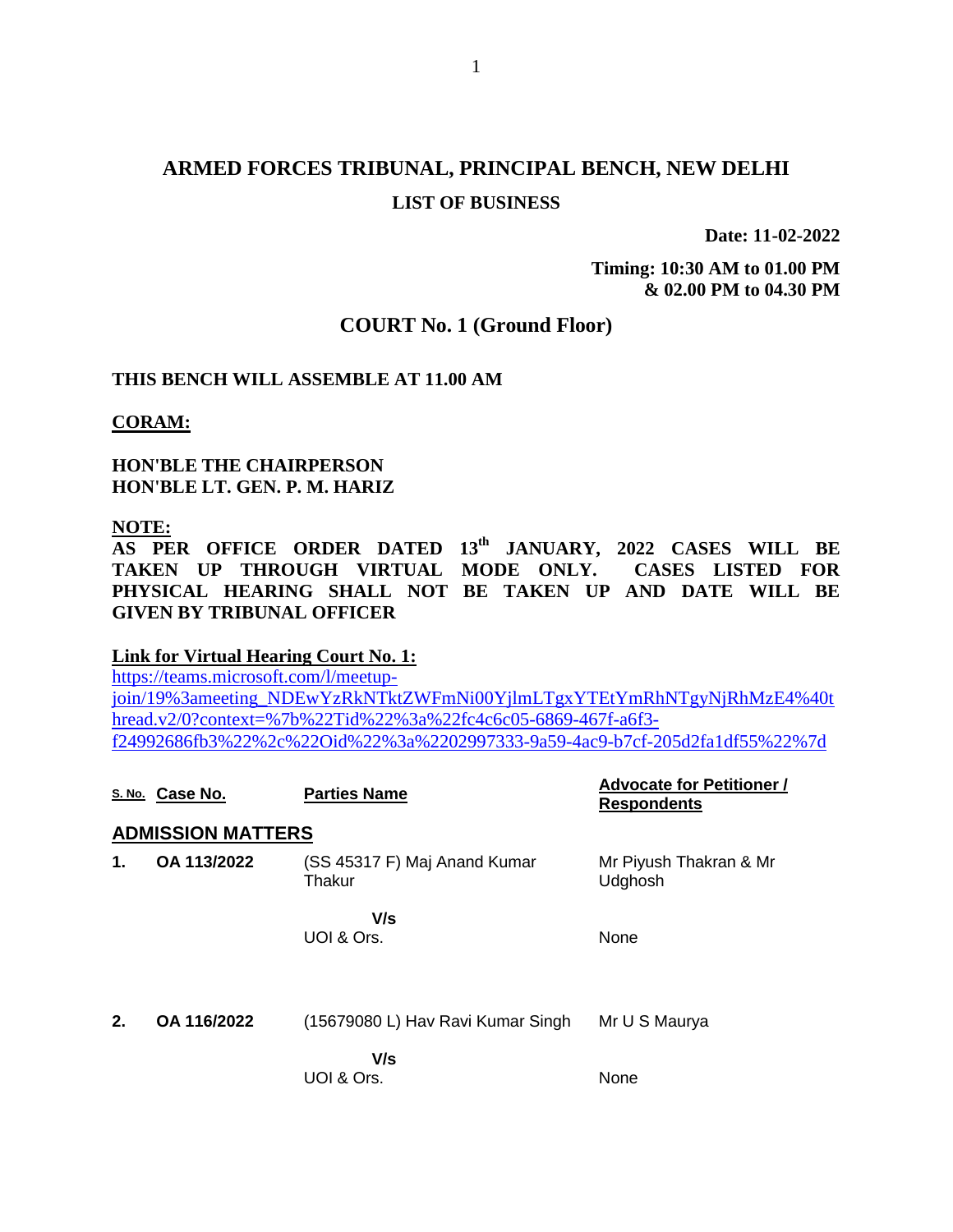# **ARMED FORCES TRIBUNAL, PRINCIPAL BENCH, NEW DELHI LIST OF BUSINESS**

**Date: 11-02-2022**

**Timing: 10:30 AM to 01.00 PM & 02.00 PM to 04.30 PM**

#### **COURT No. 1 (Ground Floor)**

#### **THIS BENCH WILL ASSEMBLE AT 11.00 AM**

**CORAM:**

**HON'BLE THE CHAIRPERSON HON'BLE LT. GEN. P. M. HARIZ**

#### **NOTE:**

**AS PER OFFICE ORDER DATED 13th JANUARY, 2022 CASES WILL BE TAKEN UP THROUGH VIRTUAL MODE ONLY. CASES LISTED FOR PHYSICAL HEARING SHALL NOT BE TAKEN UP AND DATE WILL BE GIVEN BY TRIBUNAL OFFICER**

#### **Link for Virtual Hearing Court No. 1:**

[https://teams.microsoft.com/l/meetup](https://teams.microsoft.com/l/meetup-join/19%3ameeting_NDEwYzRkNTktZWFmNi00YjlmLTgxYTEtYmRhNTgyNjRhMzE4%40thread.v2/0?context=%7b%22Tid%22%3a%22fc4c6c05-6869-467f-a6f3-f24992686fb3%22%2c%22Oid%22%3a%2202997333-9a59-4ac9-b7cf-205d2fa1df55%22%7d)[join/19%3ameeting\\_NDEwYzRkNTktZWFmNi00YjlmLTgxYTEtYmRhNTgyNjRhMzE4%40t](https://teams.microsoft.com/l/meetup-join/19%3ameeting_NDEwYzRkNTktZWFmNi00YjlmLTgxYTEtYmRhNTgyNjRhMzE4%40thread.v2/0?context=%7b%22Tid%22%3a%22fc4c6c05-6869-467f-a6f3-f24992686fb3%22%2c%22Oid%22%3a%2202997333-9a59-4ac9-b7cf-205d2fa1df55%22%7d) [hread.v2/0?context=%7b%22Tid%22%3a%22fc4c6c05-6869-467f-a6f3](https://teams.microsoft.com/l/meetup-join/19%3ameeting_NDEwYzRkNTktZWFmNi00YjlmLTgxYTEtYmRhNTgyNjRhMzE4%40thread.v2/0?context=%7b%22Tid%22%3a%22fc4c6c05-6869-467f-a6f3-f24992686fb3%22%2c%22Oid%22%3a%2202997333-9a59-4ac9-b7cf-205d2fa1df55%22%7d) [f24992686fb3%22%2c%22Oid%22%3a%2202997333-9a59-4ac9-b7cf-205d2fa1df55%22%7d](https://teams.microsoft.com/l/meetup-join/19%3ameeting_NDEwYzRkNTktZWFmNi00YjlmLTgxYTEtYmRhNTgyNjRhMzE4%40thread.v2/0?context=%7b%22Tid%22%3a%22fc4c6c05-6869-467f-a6f3-f24992686fb3%22%2c%22Oid%22%3a%2202997333-9a59-4ac9-b7cf-205d2fa1df55%22%7d)

|    | S. No. Case No.          | <b>Parties Name</b>                    | <b>Advocate for Petitioner /</b><br><b>Respondents</b> |
|----|--------------------------|----------------------------------------|--------------------------------------------------------|
|    | <b>ADMISSION MATTERS</b> |                                        |                                                        |
| 1. | OA 113/2022              | (SS 45317 F) Maj Anand Kumar<br>Thakur | Mr Piyush Thakran & Mr<br>Udghosh                      |
|    |                          | V/s<br>UOI & Ors.                      | None                                                   |
| 2. | OA 116/2022              | (15679080 L) Hav Ravi Kumar Singh      | Mr U S Maurya                                          |
|    |                          | V/s<br>UOI & Ors.                      | None                                                   |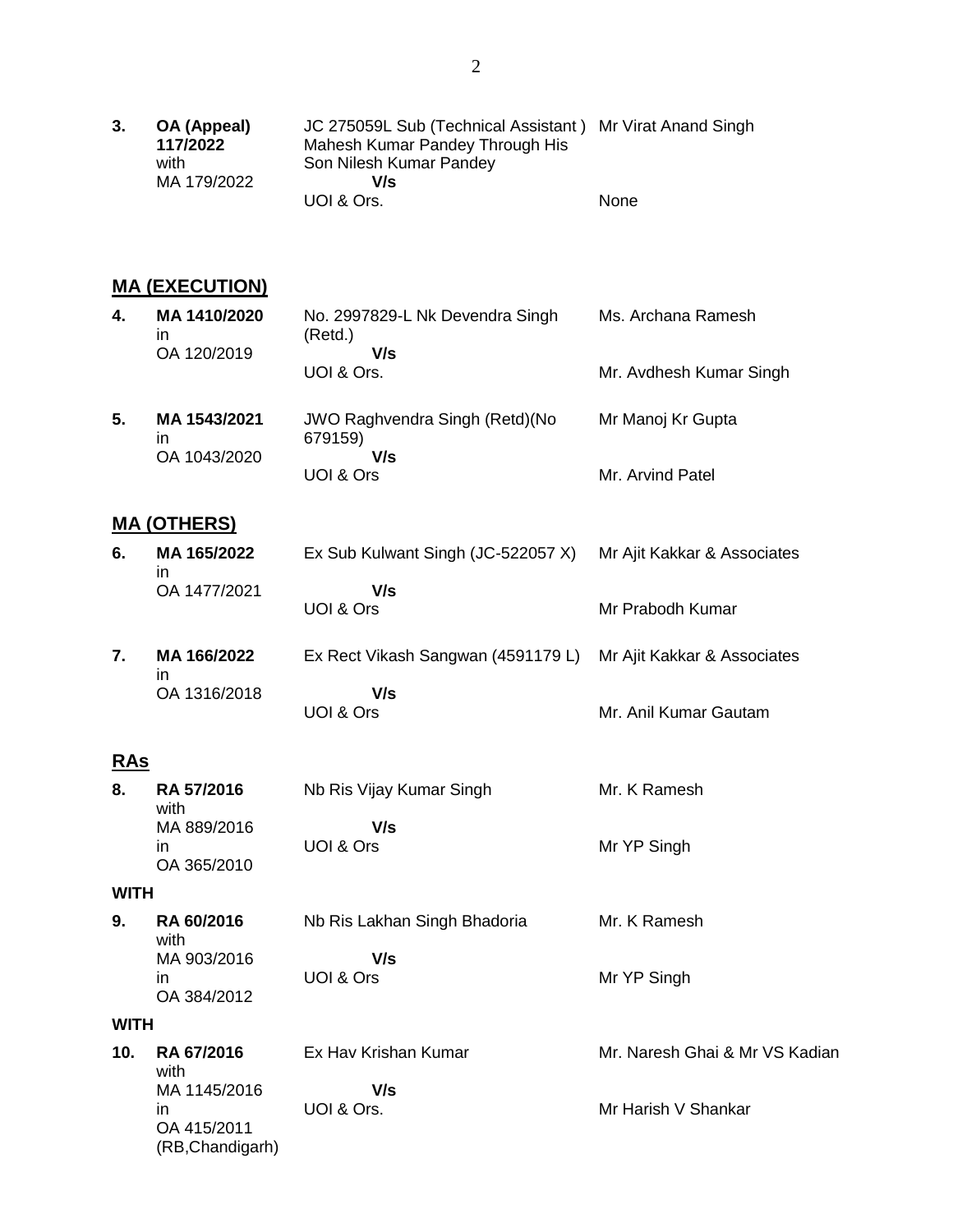| 3. | OA (Appeal) | JC 275059L Sub (Technical Assistant) Mr Virat Anand Singh |             |
|----|-------------|-----------------------------------------------------------|-------------|
|    | 117/2022    | Mahesh Kumar Pandey Through His                           |             |
|    | with        | Son Nilesh Kumar Pandey                                   |             |
|    | MA 179/2022 | V/s                                                       |             |
|    |             | UOI & Ors.                                                | <b>None</b> |

### **MA (EXECUTION)**

| 4. | MA 1410/2020<br>in<br>OA 120/2019  | No. 2997829-L Nk Devendra Singh<br>(Retd.)<br>V/s        | Ms. Archana Ramesh      |
|----|------------------------------------|----------------------------------------------------------|-------------------------|
|    |                                    | UOI & Ors.                                               | Mr. Avdhesh Kumar Singh |
| 5. | MA 1543/2021<br>ın<br>OA 1043/2020 | <b>JWO Raghvendra Singh (Retd) (No</b><br>679159)<br>V/s | Mr Manoj Kr Gupta       |
|    |                                    | UOI & Ors                                                | Mr. Arvind Patel        |

### **MA (OTHERS)**

| 6. | MA 165/2022<br>ın | Ex Sub Kulwant Singh (JC-522057 X) Mr Ajit Kakkar & Associates |                  |
|----|-------------------|----------------------------------------------------------------|------------------|
|    | OA 1477/2021      | V/s                                                            |                  |
|    |                   | UOI & Ors                                                      | Mr Prabodh Kumar |

**7. MA 166/2022** in OA 1316/2018 Ex Rect Vikash Sangwan (4591179 L) Mr Ajit Kakkar & Associates  **V/s** UOI & Ors Mr. Anil Kumar Gautam

# **RAs**

| 8. | <b>RA 57/2016</b><br>with | Nb Ris Vijay Kumar Singh | Mr. K Ramesh |
|----|---------------------------|--------------------------|--------------|
|    | MA 889/2016               | V/s                      |              |
|    | ın<br>OA 365/2010         | UOI & Ors                | Mr YP Singh  |

#### **WITH**

**9. RA 60/2016** with MA 903/2016 in OA 384/2012 Nb Ris Lakhan Singh Bhadoria  **V/s** UOI & Ors Mr. K Ramesh Mr YP Singh

#### **WITH**

| 10. | <b>RA 67/2016</b><br>with                             | Ex Hav Krishan Kumar | Mr. Naresh Ghai & Mr VS Kadian |
|-----|-------------------------------------------------------|----------------------|--------------------------------|
|     | MA 1145/2016<br>ın<br>OA 415/2011<br>(RB, Chandigarh) | V/s<br>UOI & Ors.    | Mr Harish V Shankar            |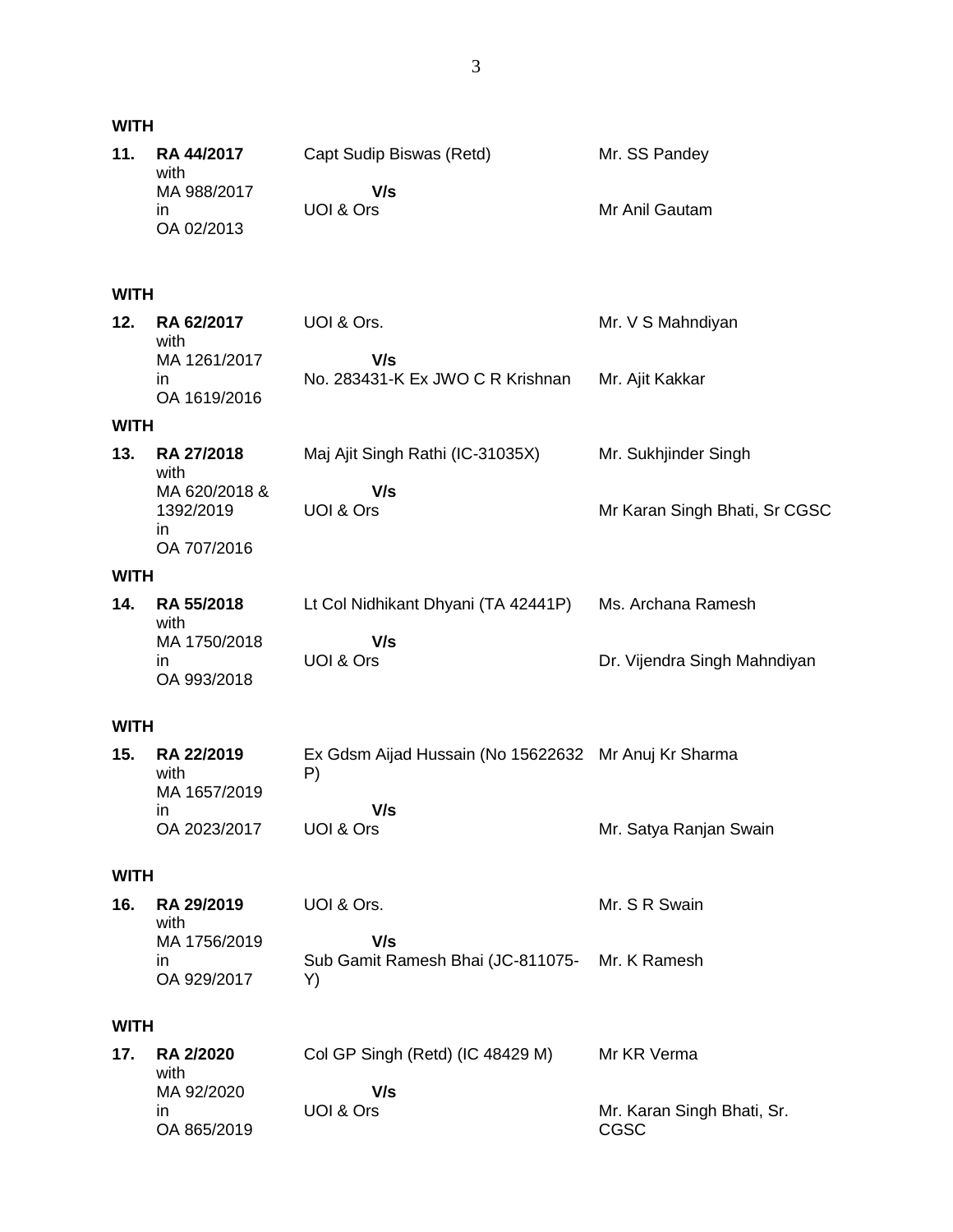| <b>WITH</b> |                                                              |                                                                                |                                           |
|-------------|--------------------------------------------------------------|--------------------------------------------------------------------------------|-------------------------------------------|
| 11.         | <b>RA 44/2017</b><br>with<br>MA 988/2017<br>in<br>OA 02/2013 | Capt Sudip Biswas (Retd)<br>V/s<br>UOI & Ors                                   | Mr. SS Pandey<br>Mr Anil Gautam           |
| <b>WITH</b> |                                                              |                                                                                |                                           |
| 12.         | RA 62/2017<br>with<br>MA 1261/2017<br>in<br>OA 1619/2016     | UOI & Ors.<br>V/s<br>No. 283431-K Ex JWO C R Krishnan                          | Mr. V S Mahndiyan<br>Mr. Ajit Kakkar      |
| <b>WITH</b> |                                                              |                                                                                |                                           |
| 13.         | <b>RA 27/2018</b><br>with                                    | Maj Ajit Singh Rathi (IC-31035X)                                               | Mr. Sukhjinder Singh                      |
|             | MA 620/2018 &<br>1392/2019<br>in<br>OA 707/2016              | V/s<br>UOI & Ors                                                               | Mr Karan Singh Bhati, Sr CGSC             |
| <b>WITH</b> |                                                              |                                                                                |                                           |
| 14.         | RA 55/2018<br>with                                           | Lt Col Nidhikant Dhyani (TA 42441P)                                            | Ms. Archana Ramesh                        |
|             | MA 1750/2018<br>in<br>OA 993/2018                            | V/s<br>UOI & Ors                                                               | Dr. Vijendra Singh Mahndiyan              |
| <b>WITH</b> |                                                              |                                                                                |                                           |
| 15.         | RA 22/2019<br>with<br>MA 1657/2019<br>in<br>OA 2023/2017     | Ex Gdsm Aijad Hussain (No 15622632 Mr Anuj Kr Sharma<br>P)<br>V/s<br>UOI & Ors | Mr. Satya Ranjan Swain                    |
| <b>WITH</b> |                                                              |                                                                                |                                           |
| 16.         | RA 29/2019                                                   | UOI & Ors.                                                                     | Mr. S R Swain                             |
|             | with<br>MA 1756/2019<br>in<br>OA 929/2017                    | V/s<br>Sub Gamit Ramesh Bhai (JC-811075- Mr. K Ramesh<br>Y)                    |                                           |
| <b>WITH</b> |                                                              |                                                                                |                                           |
| 17.         | <b>RA 2/2020</b><br>with<br>MA 92/2020<br>ın                 | Col GP Singh (Retd) (IC 48429 M)<br>V/s<br>UOI & Ors                           | Mr KR Verma<br>Mr. Karan Singh Bhati, Sr. |
|             | OA 865/2019                                                  |                                                                                | CGSC                                      |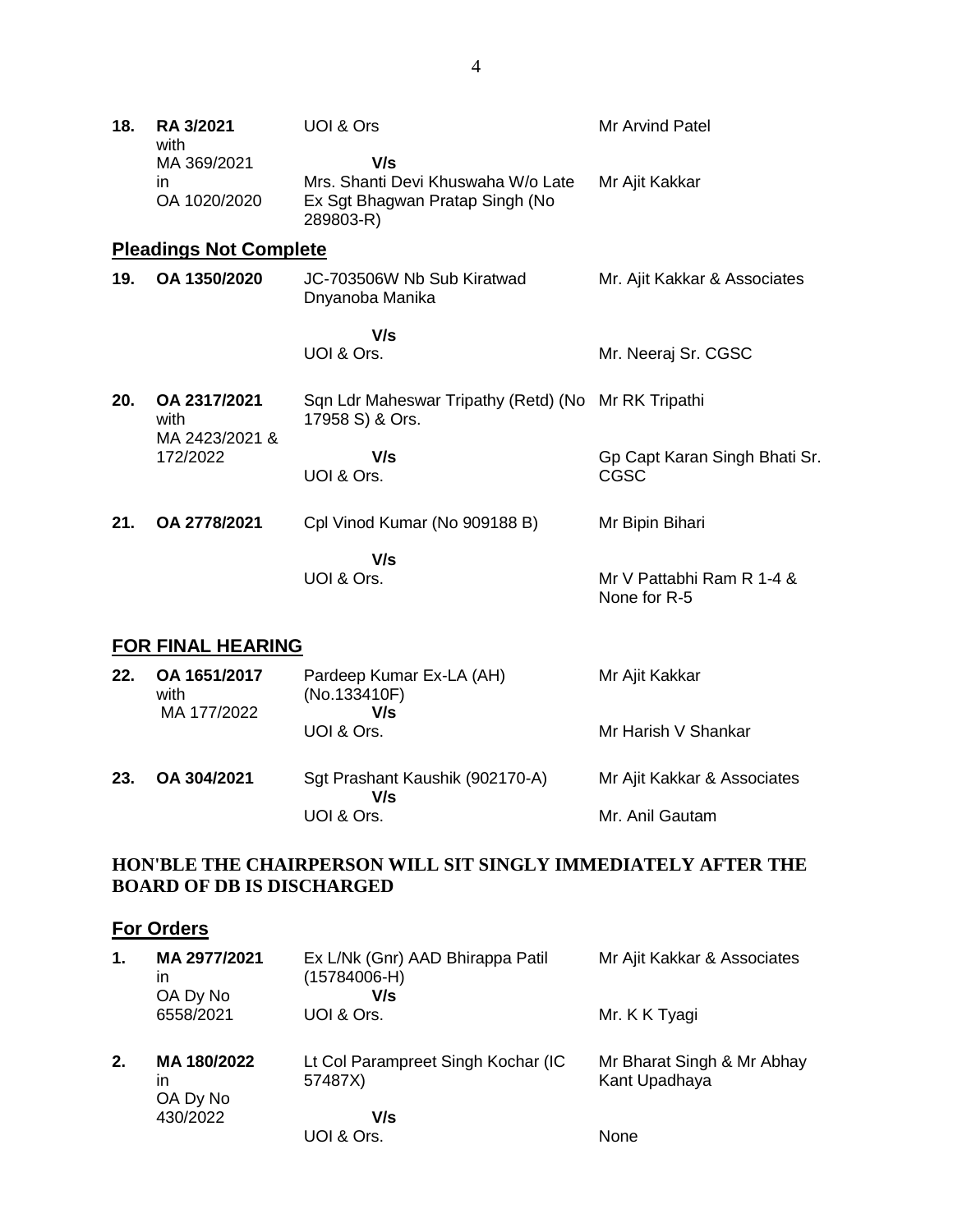| 18. | <b>RA 3/2021</b><br>with               | UOI & Ors                                                                                 | Mr Arvind Patel                              |
|-----|----------------------------------------|-------------------------------------------------------------------------------------------|----------------------------------------------|
|     | MA 369/2021<br>in.<br>OA 1020/2020     | V/s<br>Mrs. Shanti Devi Khuswaha W/o Late<br>Ex Sgt Bhagwan Pratap Singh (No<br>289803-R) | Mr Ajit Kakkar                               |
|     | <b>Pleadings Not Complete</b>          |                                                                                           |                                              |
| 19. | OA 1350/2020                           | JC-703506W Nb Sub Kiratwad<br>Dnyanoba Manika                                             | Mr. Ajit Kakkar & Associates                 |
|     |                                        | V/s<br>UOI & Ors.                                                                         | Mr. Neeraj Sr. CGSC                          |
| 20. | OA 2317/2021<br>with<br>MA 2423/2021 & | Sqn Ldr Maheswar Tripathy (Retd) (No Mr RK Tripathi<br>17958 S) & Ors.                    |                                              |
|     | 172/2022                               | V/s<br>UOI & Ors.                                                                         | Gp Capt Karan Singh Bhati Sr.<br><b>CGSC</b> |
| 21. | OA 2778/2021                           | Cpl Vinod Kumar (No 909188 B)                                                             | Mr Bipin Bihari                              |
|     |                                        | V/s<br>UOI & Ors.                                                                         | Mr V Pattabhi Ram R 1-4 &<br>None for R-5    |

## **FOR FINAL HEARING**

| 22. | OA 1651/2017<br>with<br>MA 177/2022 | Pardeep Kumar Ex-LA (AH)<br>(No.133410F)<br>V/s | Mr Ajit Kakkar              |
|-----|-------------------------------------|-------------------------------------------------|-----------------------------|
|     |                                     | UOI & Ors.                                      | Mr Harish V Shankar         |
| 23. | OA 304/2021                         | Sgt Prashant Kaushik (902170-A)<br>V/s          | Mr Ajit Kakkar & Associates |
|     |                                     | UOI & Ors.                                      | Mr. Anil Gautam             |

## **HON'BLE THE CHAIRPERSON WILL SIT SINGLY IMMEDIATELY AFTER THE BOARD OF DB IS DISCHARGED**

# **For Orders**

| 1. | MA 2977/2021<br>in<br>OA Dy No | Ex L/Nk (Gnr) AAD Bhirappa Patil<br>$(15784006-H)$<br>V/s | Mr Ajit Kakkar & Associates                 |
|----|--------------------------------|-----------------------------------------------------------|---------------------------------------------|
|    | 6558/2021                      | UOI & Ors.                                                | Mr. K K Tyagi                               |
| 2. | MA 180/2022<br>in<br>OA Dy No  | Lt Col Parampreet Singh Kochar (IC<br>57487X)             | Mr Bharat Singh & Mr Abhay<br>Kant Upadhaya |
|    | 430/2022                       | V/s                                                       |                                             |
|    |                                | UOI & Ors.                                                | <b>None</b>                                 |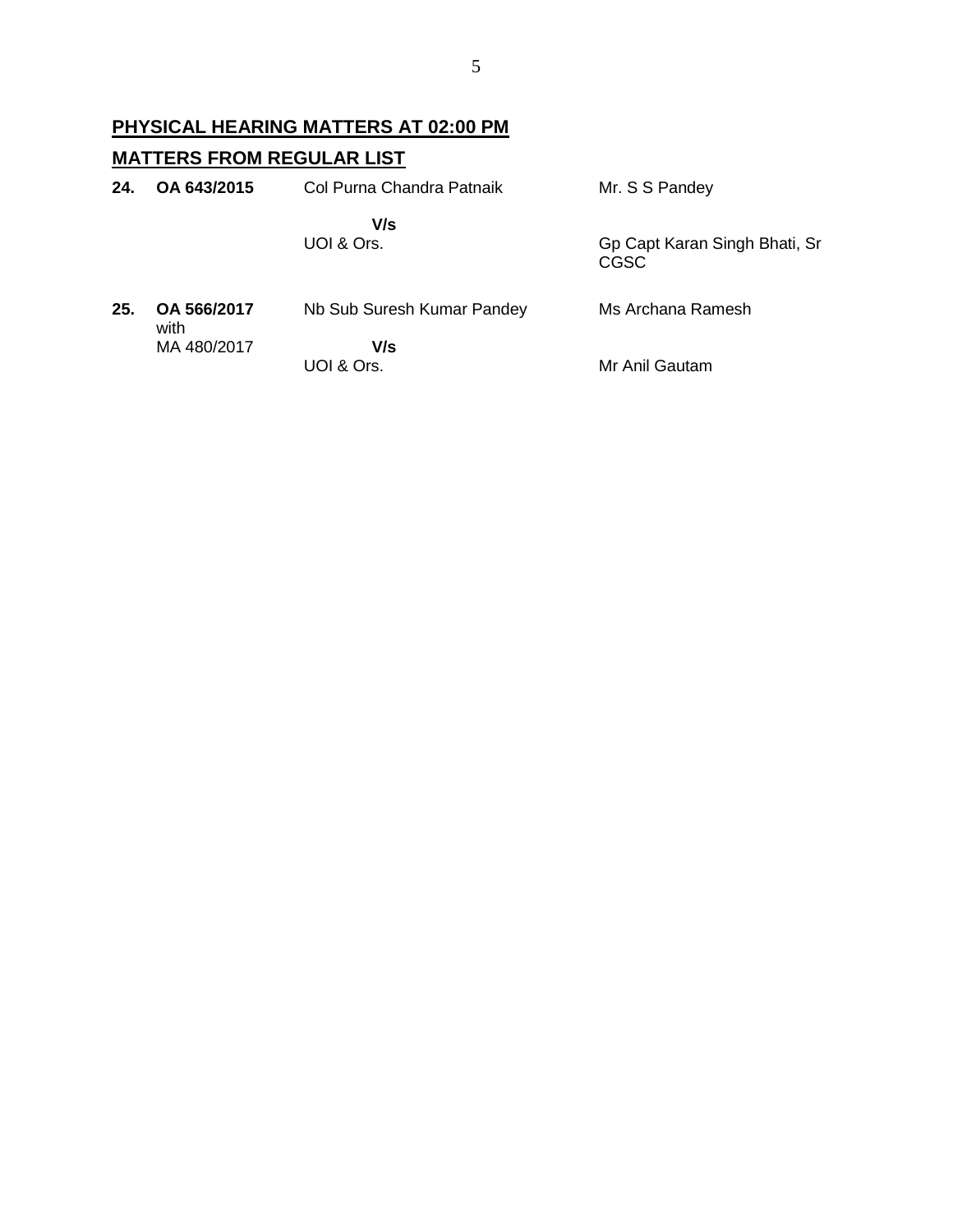# **PHYSICAL HEARING MATTERS AT 02:00 PM MATTERS FROM REGULAR LIST**

| 24. | OA 643/2015         | Col Purna Chandra Patnaik  | Mr. S S Pandey                        |
|-----|---------------------|----------------------------|---------------------------------------|
|     |                     | V/s<br>UOI & Ors.          | Gp Capt Karan Singh Bhati, Sr<br>CGSC |
| 25. | OA 566/2017<br>with | Nb Sub Suresh Kumar Pandey | Ms Archana Ramesh                     |
|     | MA 480/2017         | V/s<br>UOI & Ors.          | Mr Anil Gautam                        |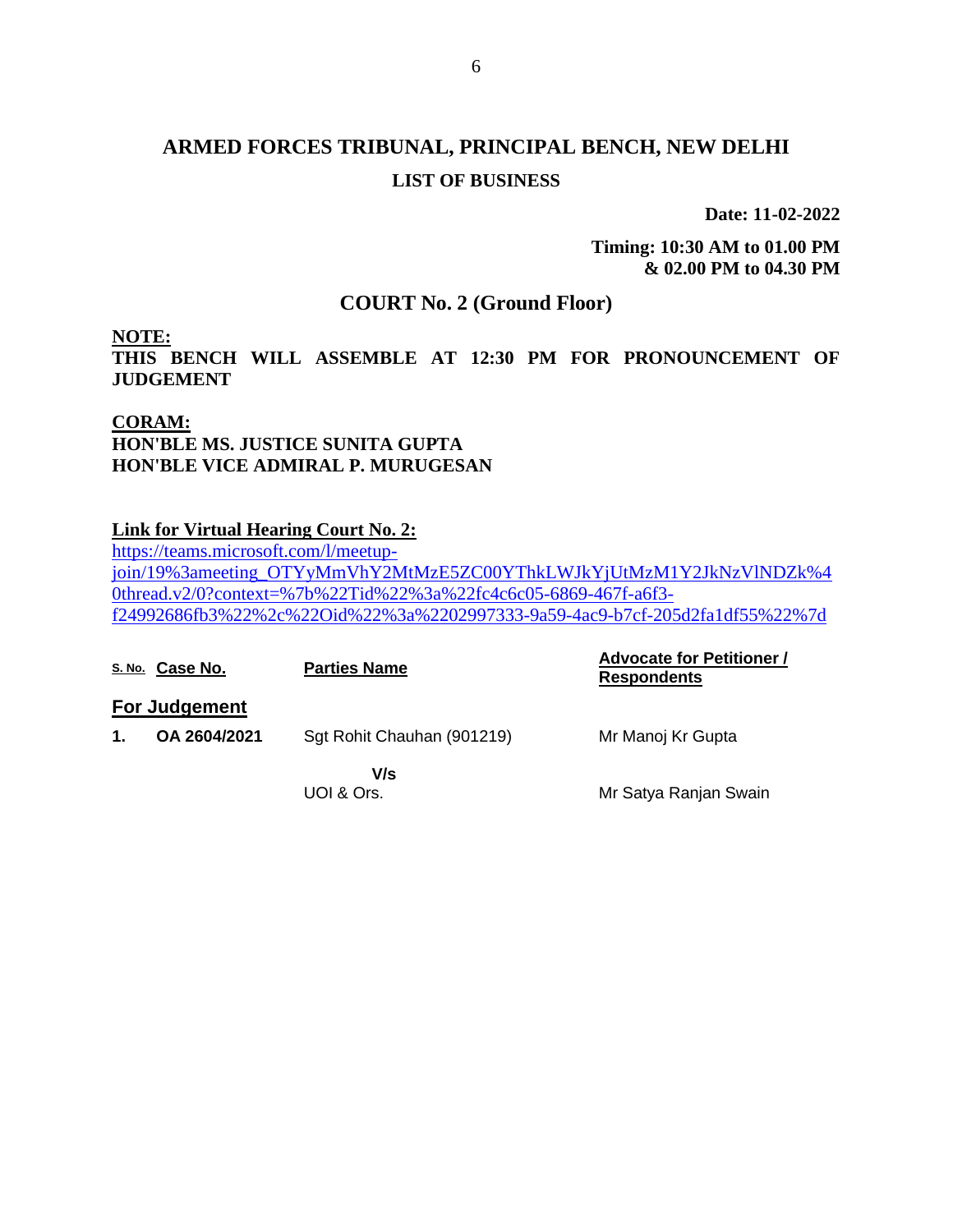# **ARMED FORCES TRIBUNAL, PRINCIPAL BENCH, NEW DELHI LIST OF BUSINESS**

**Date: 11-02-2022**

**Timing: 10:30 AM to 01.00 PM & 02.00 PM to 04.30 PM**

## **COURT No. 2 (Ground Floor)**

**NOTE:** 

**THIS BENCH WILL ASSEMBLE AT 12:30 PM FOR PRONOUNCEMENT OF JUDGEMENT** 

## **CORAM: HON'BLE MS. JUSTICE SUNITA GUPTA HON'BLE VICE ADMIRAL P. MURUGESAN**

### **Link for Virtual Hearing Court No. 2:**

[https://teams.microsoft.com/l/meetup](https://teams.microsoft.com/l/meetup-join/19%3ameeting_OTYyMmVhY2MtMzE5ZC00YThkLWJkYjUtMzM1Y2JkNzVlNDZk%40thread.v2/0?context=%7b%22Tid%22%3a%22fc4c6c05-6869-467f-a6f3-f24992686fb3%22%2c%22Oid%22%3a%2202997333-9a59-4ac9-b7cf-205d2fa1df55%22%7d)[join/19%3ameeting\\_OTYyMmVhY2MtMzE5ZC00YThkLWJkYjUtMzM1Y2JkNzVlNDZk%4](https://teams.microsoft.com/l/meetup-join/19%3ameeting_OTYyMmVhY2MtMzE5ZC00YThkLWJkYjUtMzM1Y2JkNzVlNDZk%40thread.v2/0?context=%7b%22Tid%22%3a%22fc4c6c05-6869-467f-a6f3-f24992686fb3%22%2c%22Oid%22%3a%2202997333-9a59-4ac9-b7cf-205d2fa1df55%22%7d) [0thread.v2/0?context=%7b%22Tid%22%3a%22fc4c6c05-6869-467f-a6f3](https://teams.microsoft.com/l/meetup-join/19%3ameeting_OTYyMmVhY2MtMzE5ZC00YThkLWJkYjUtMzM1Y2JkNzVlNDZk%40thread.v2/0?context=%7b%22Tid%22%3a%22fc4c6c05-6869-467f-a6f3-f24992686fb3%22%2c%22Oid%22%3a%2202997333-9a59-4ac9-b7cf-205d2fa1df55%22%7d) [f24992686fb3%22%2c%22Oid%22%3a%2202997333-9a59-4ac9-b7cf-205d2fa1df55%22%7d](https://teams.microsoft.com/l/meetup-join/19%3ameeting_OTYyMmVhY2MtMzE5ZC00YThkLWJkYjUtMzM1Y2JkNzVlNDZk%40thread.v2/0?context=%7b%22Tid%22%3a%22fc4c6c05-6869-467f-a6f3-f24992686fb3%22%2c%22Oid%22%3a%2202997333-9a59-4ac9-b7cf-205d2fa1df55%22%7d)

|    | S. No. Case No.      | <b>Parties Name</b>        | <b>Advocate for Petitioner /</b><br><b>Respondents</b> |
|----|----------------------|----------------------------|--------------------------------------------------------|
|    | <b>For Judgement</b> |                            |                                                        |
| 1. | OA 2604/2021         | Sgt Rohit Chauhan (901219) | Mr Manoj Kr Gupta                                      |
|    |                      | V/s<br>UOI & Ors.          | Mr Satya Ranjan Swain                                  |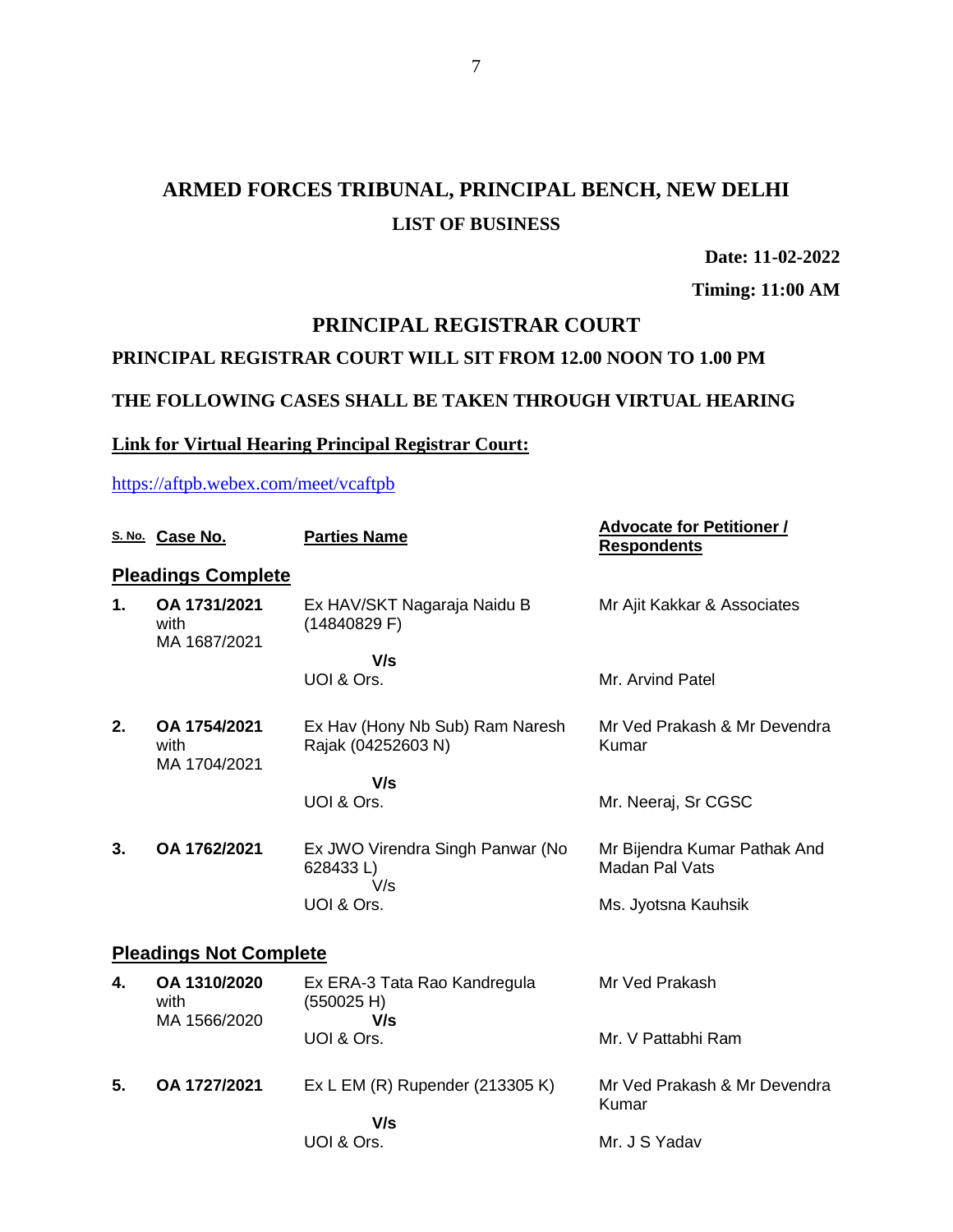# **ARMED FORCES TRIBUNAL, PRINCIPAL BENCH, NEW DELHI LIST OF BUSINESS**

**Date: 11-02-2022**

**Timing: 11:00 AM**

## **PRINCIPAL REGISTRAR COURT**

### **PRINCIPAL REGISTRAR COURT WILL SIT FROM 12.00 NOON TO 1.00 PM**

#### **THE FOLLOWING CASES SHALL BE TAKEN THROUGH VIRTUAL HEARING**

#### **Link for Virtual Hearing Principal Registrar Court:**

<https://aftpb.webex.com/meet/vcaftpb>

|                               | S. No. Case No.                      | <b>Parties Name</b>                                   | <b>Advocate for Petitioner /</b><br><b>Respondents</b> |  |  |  |  |
|-------------------------------|--------------------------------------|-------------------------------------------------------|--------------------------------------------------------|--|--|--|--|
| <b>Pleadings Complete</b>     |                                      |                                                       |                                                        |  |  |  |  |
| 1.                            | OA 1731/2021<br>with<br>MA 1687/2021 | Ex HAV/SKT Nagaraja Naidu B<br>(14840829 F)           | Mr Ajit Kakkar & Associates                            |  |  |  |  |
|                               |                                      | V/s                                                   |                                                        |  |  |  |  |
|                               |                                      | UOI & Ors.                                            | Mr. Arvind Patel                                       |  |  |  |  |
| 2.                            | OA 1754/2021<br>with<br>MA 1704/2021 | Ex Hav (Hony Nb Sub) Ram Naresh<br>Rajak (04252603 N) | Mr Ved Prakash & Mr Devendra<br>Kumar                  |  |  |  |  |
|                               |                                      | V/s                                                   |                                                        |  |  |  |  |
|                               |                                      | UOI & Ors.                                            | Mr. Neeraj, Sr CGSC                                    |  |  |  |  |
| 3.                            | OA 1762/2021                         | Ex JWO Virendra Singh Panwar (No<br>628433L)<br>V/s   | Mr Bijendra Kumar Pathak And<br>Madan Pal Vats         |  |  |  |  |
|                               |                                      | UOI & Ors.                                            | Ms. Jyotsna Kauhsik                                    |  |  |  |  |
| <b>Pleadings Not Complete</b> |                                      |                                                       |                                                        |  |  |  |  |
| 4.                            | OA 1310/2020<br>with<br>MA 1566/2020 | Ex ERA-3 Tata Rao Kandregula<br>(550025 H)<br>V/s     | Mr Ved Prakash                                         |  |  |  |  |
|                               |                                      | UOI & Ors.                                            | Mr. V Pattabhi Ram                                     |  |  |  |  |
| 5.                            | OA 1727/2021                         | Ex L EM (R) Rupender (213305 K)                       | Mr Ved Prakash & Mr Devendra<br>Kumar                  |  |  |  |  |
|                               |                                      | V/s<br>UOI & Ors.                                     | Mr. J S Yadav                                          |  |  |  |  |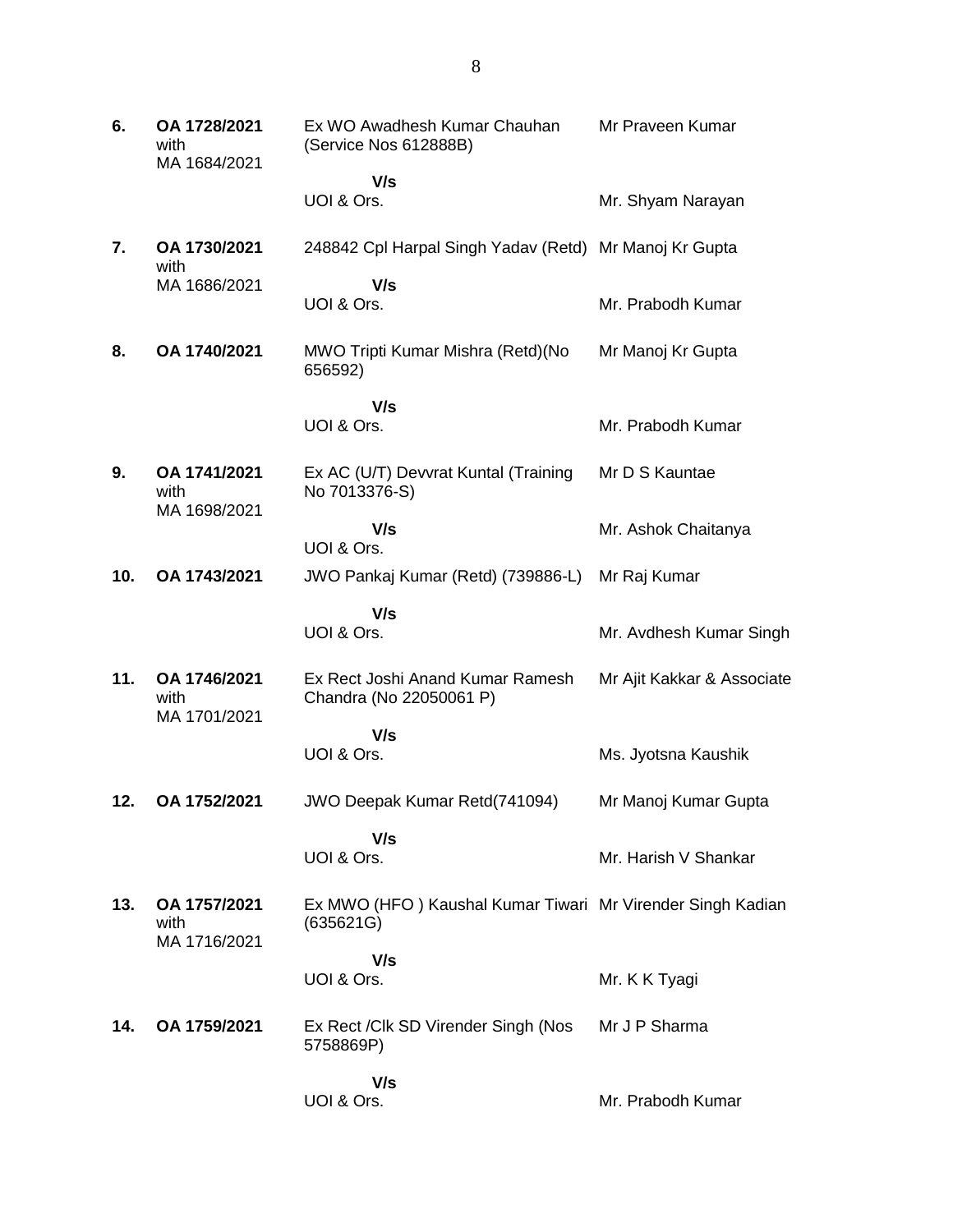**6. OA 1728/2021** with MA 1684/2021 Ex WO Awadhesh Kumar Chauhan (Service Nos 612888B)  **V/s** UOI & Ors. Mr Praveen Kumar Mr. Shyam Narayan **7. OA 1730/2021** with MA 1686/2021 248842 Cpl Harpal Singh Yadav (Retd) Mr Manoj Kr Gupta  **V/s** UOI & Ors. Mr. Prabodh Kumar **8. OA 1740/2021** MWO Tripti Kumar Mishra (Retd)(No 656592)  **V/s** UOI & Ors. Mr Manoj Kr Gupta Mr. Prabodh Kumar **9. OA 1741/2021** with MA 1698/2021 Ex AC (U/T) Devvrat Kuntal (Training No 7013376-S)  **V/s** UOI & Ors. Mr D S Kauntae Mr. Ashok Chaitanya **10. OA 1743/2021** JWO Pankaj Kumar (Retd) (739886-L) Mr Raj Kumar  **V/s** UOI & Ors. Mr. Avdhesh Kumar Singh **11. OA 1746/2021** with MA 1701/2021 Ex Rect Joshi Anand Kumar Ramesh Chandra (No 22050061 P)  **V/s** UOI & Ors. Mr Ajit Kakkar & Associate Ms. Jyotsna Kaushik **12. OA 1752/2021** JWO Deepak Kumar Retd(741094)  **V/s** UOI & Ors. Mr Manoj Kumar Gupta Mr. Harish V Shankar **13. OA 1757/2021** with MA 1716/2021 Ex MWO (HFO ) Kaushal Kumar Tiwari Mr Virender Singh Kadian (635621G)  **V/s** UOI & Ors. Mr. K K Tyagi **14. OA 1759/2021** Ex Rect /Clk SD Virender Singh (Nos 5758869P)  **V/s** UOI & Ors. Mr J P Sharma Mr. Prabodh Kumar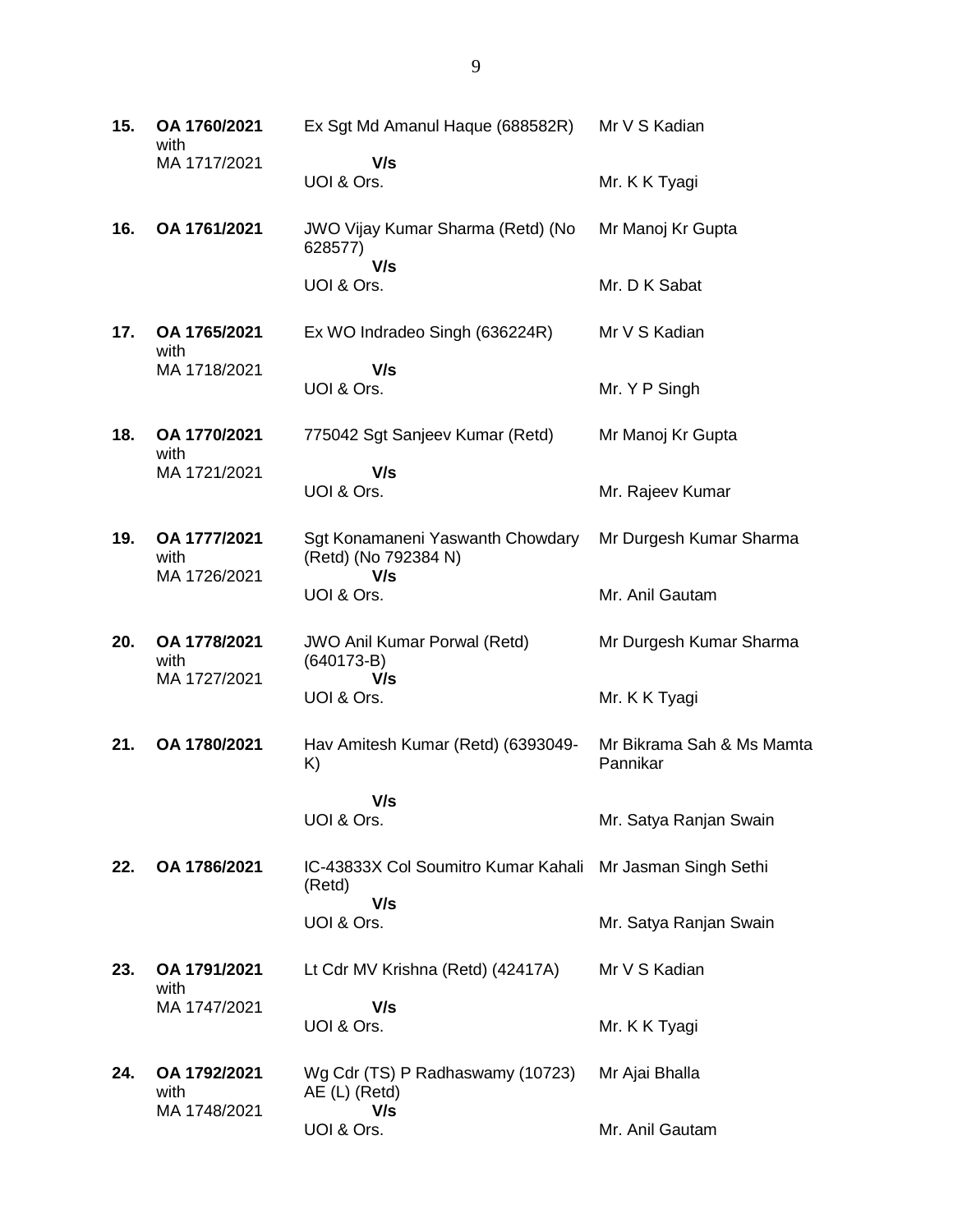| 15. | OA 1760/2021<br>with                 | Ex Sgt Md Amanul Haque (688582R)                                           | Mr V S Kadian                         |
|-----|--------------------------------------|----------------------------------------------------------------------------|---------------------------------------|
|     | MA 1717/2021                         | V/s<br>UOI & Ors.                                                          | Mr. K K Tyagi                         |
| 16. | OA 1761/2021                         | JWO Vijay Kumar Sharma (Retd) (No<br>628577)                               | Mr Manoj Kr Gupta                     |
|     |                                      | V/s<br>UOI & Ors.                                                          | Mr. D K Sabat                         |
| 17. | OA 1765/2021<br>with                 | Ex WO Indradeo Singh (636224R)                                             | Mr V S Kadian                         |
|     | MA 1718/2021                         | V/s<br>UOI & Ors.                                                          | Mr. Y P Singh                         |
| 18. | OA 1770/2021<br>with                 | 775042 Sgt Sanjeev Kumar (Retd)                                            | Mr Manoj Kr Gupta                     |
|     | MA 1721/2021                         | V/s<br>UOI & Ors.                                                          | Mr. Rajeev Kumar                      |
| 19. | OA 1777/2021<br>with<br>MA 1726/2021 | Sgt Konamaneni Yaswanth Chowdary<br>(Retd) (No 792384 N)<br>V/s            | Mr Durgesh Kumar Sharma               |
|     |                                      | UOI & Ors.                                                                 | Mr. Anil Gautam                       |
| 20. | OA 1778/2021<br>with                 | <b>JWO Anil Kumar Porwal (Retd)</b><br>$(640173-B)$                        | Mr Durgesh Kumar Sharma               |
|     | MA 1727/2021                         | V/s<br>UOI & Ors.                                                          | Mr. K K Tyagi                         |
| 21. | OA 1780/2021                         | Hav Amitesh Kumar (Retd) (6393049-<br>K)                                   | Mr Bikrama Sah & Ms Mamta<br>Pannikar |
|     |                                      | V/s<br>UOI & Ors.                                                          | Mr. Satya Ranjan Swain                |
| 22. | OA 1786/2021                         | IC-43833X Col Soumitro Kumar Kahali Mr Jasman Singh Sethi<br>(Retd)<br>V/s |                                       |
|     |                                      | UOI & Ors.                                                                 | Mr. Satya Ranjan Swain                |
| 23. | OA 1791/2021<br>with<br>MA 1747/2021 | Lt Cdr MV Krishna (Retd) (42417A)                                          | Mr V S Kadian                         |
|     |                                      | V/s<br>UOI & Ors.                                                          | Mr. K K Tyagi                         |
| 24. | OA 1792/2021<br>with                 | Wg Cdr (TS) P Radhaswamy (10723)<br>AE (L) (Retd)                          | Mr Ajai Bhalla                        |
|     | MA 1748/2021                         | V/s<br>UOI & Ors.                                                          | Mr. Anil Gautam                       |